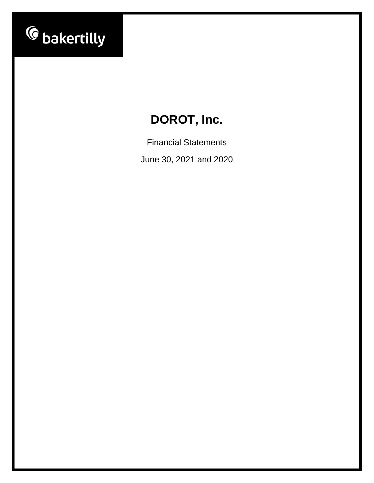

Financial Statements June 30, 2021 and 2020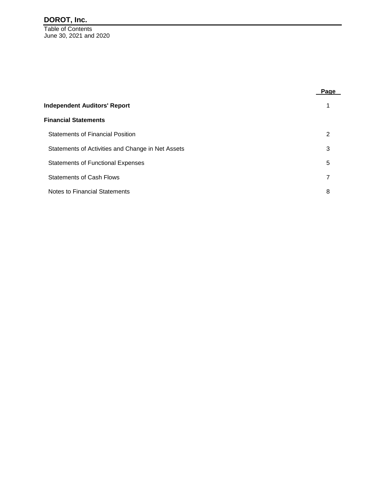Table of Contents June 30, 2021 and 2020

|                                                   | <u>Page</u> |
|---------------------------------------------------|-------------|
| <b>Independent Auditors' Report</b>               |             |
| <b>Financial Statements</b>                       |             |
| <b>Statements of Financial Position</b>           | 2           |
| Statements of Activities and Change in Net Assets | 3           |
| <b>Statements of Functional Expenses</b>          | 5           |
| <b>Statements of Cash Flows</b>                   | 7           |
| Notes to Financial Statements                     | 8           |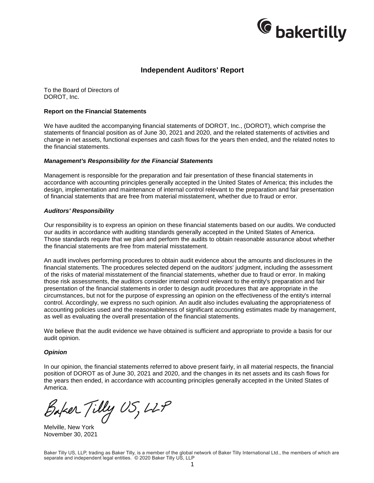

# **Independent Auditors' Report**

To the Board of Directors of DOROT, Inc.

#### **Report on the Financial Statements**

We have audited the accompanying financial statements of DOROT, Inc., (DOROT), which comprise the statements of financial position as of June 30, 2021 and 2020, and the related statements of activities and change in net assets, functional expenses and cash flows for the years then ended, and the related notes to the financial statements.

#### *Management's Responsibility for the Financial Statements*

Management is responsible for the preparation and fair presentation of these financial statements in accordance with accounting principles generally accepted in the United States of America; this includes the design, implementation and maintenance of internal control relevant to the preparation and fair presentation of financial statements that are free from material misstatement, whether due to fraud or error.

#### *Auditors' Responsibility*

Our responsibility is to express an opinion on these financial statements based on our audits. We conducted our audits in accordance with auditing standards generally accepted in the United States of America. Those standards require that we plan and perform the audits to obtain reasonable assurance about whether the financial statements are free from material misstatement.

An audit involves performing procedures to obtain audit evidence about the amounts and disclosures in the financial statements. The procedures selected depend on the auditors' judgment, including the assessment of the risks of material misstatement of the financial statements, whether due to fraud or error. In making those risk assessments, the auditors consider internal control relevant to the entity's preparation and fair presentation of the financial statements in order to design audit procedures that are appropriate in the circumstances, but not for the purpose of expressing an opinion on the effectiveness of the entity's internal control. Accordingly, we express no such opinion. An audit also includes evaluating the appropriateness of accounting policies used and the reasonableness of significant accounting estimates made by management, as well as evaluating the overall presentation of the financial statements.

We believe that the audit evidence we have obtained is sufficient and appropriate to provide a basis for our audit opinion.

#### *Opinion*

In our opinion, the financial statements referred to above present fairly, in all material respects, the financial position of DOROT as of June 30, 2021 and 2020, and the changes in its net assets and its cash flows for the years then ended, in accordance with accounting principles generally accepted in the United States of America.

Baker Tilly US, LLP

Melville, New York November 30, 2021

Baker Tilly US, LLP, trading as Baker Tilly, is a member of the global network of Baker Tilly International Ltd., the members of which are separate and independent legal entities. © 2020 Baker Tilly US, LLP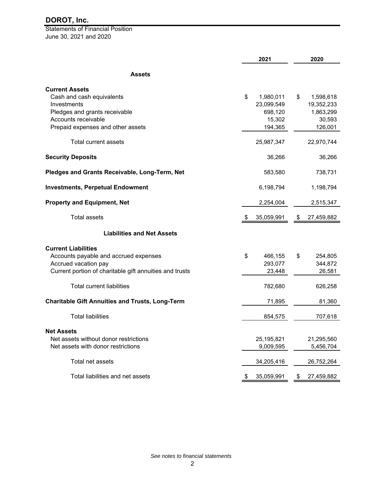Statements of Financial Position June 30, 2021 and 2020

|                                                                                                                                                        | 2021                                               | 2020                                                 |
|--------------------------------------------------------------------------------------------------------------------------------------------------------|----------------------------------------------------|------------------------------------------------------|
| <b>Assets</b>                                                                                                                                          |                                                    |                                                      |
| <b>Current Assets</b><br>Cash and cash equivalents<br>Investments<br>Pledges and grants receivable<br>Accounts receivable                              | \$<br>1,980,011<br>23,099,549<br>698,120<br>15,302 | \$<br>1,598,618<br>19,352,233<br>1,863,299<br>30,593 |
| Prepaid expenses and other assets                                                                                                                      | 194,365                                            | 126,001                                              |
| Total current assets                                                                                                                                   | 25,987,347                                         | 22,970,744                                           |
| <b>Security Deposits</b>                                                                                                                               | 36,266                                             | 36,266                                               |
| Pledges and Grants Receivable, Long-Term, Net                                                                                                          | 583,580                                            | 738,731                                              |
| <b>Investments, Perpetual Endowment</b>                                                                                                                | 6,198,794                                          | 1,198,794                                            |
| <b>Property and Equipment, Net</b>                                                                                                                     | 2,254,004                                          | 2,515,347                                            |
| <b>Total assets</b>                                                                                                                                    | 35,059,991                                         | \$<br>27,459,882                                     |
| <b>Liabilities and Net Assets</b>                                                                                                                      |                                                    |                                                      |
| <b>Current Liabilities</b><br>Accounts payable and accrued expenses<br>Accrued vacation pay<br>Current portion of charitable gift annuities and trusts | \$<br>466,155<br>293,077<br>23,448                 | \$<br>254,805<br>344,872<br>26,581                   |
| <b>Total current liabilities</b>                                                                                                                       | 782,680                                            | 626,258                                              |
| <b>Charitable Gift Annuities and Trusts, Long-Term</b>                                                                                                 | 71,895                                             | 81,360                                               |
| <b>Total liabilities</b>                                                                                                                               | 854,575                                            | 707,618                                              |
| <b>Net Assets</b><br>Net assets without donor restrictions<br>Net assets with donor restrictions                                                       | 25, 195, 821<br>9,009,595                          | 21,295,560<br>5,456,704                              |
| Total net assets                                                                                                                                       | 34,205,416                                         | 26,752,264                                           |
| Total liabilities and net assets                                                                                                                       | \$<br>35,059,991                                   | \$<br>27,459,882                                     |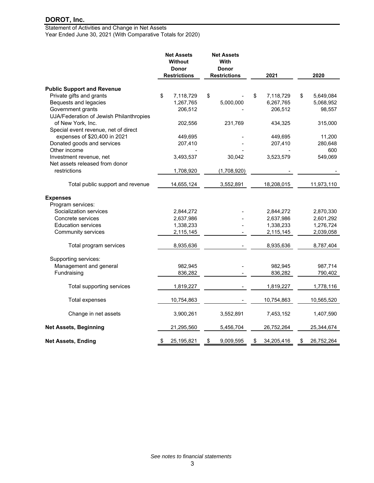Statement of Activities and Change in Net Assets Year Ended June 30, 2021 (With Comparative Totals for 2020)

|                                         | <b>Net Assets</b><br><b>Without</b><br><b>Donor</b><br><b>Restrictions</b> | <b>Net Assets</b><br>With<br>Donor<br><b>Restrictions</b> | 2021             | 2020             |
|-----------------------------------------|----------------------------------------------------------------------------|-----------------------------------------------------------|------------------|------------------|
| <b>Public Support and Revenue</b>       |                                                                            |                                                           |                  |                  |
| Private gifts and grants                | \$<br>7,118,729                                                            | \$                                                        | \$<br>7,118,729  | 5,649,084<br>\$  |
| Bequests and legacies                   | 1,267,765                                                                  | 5,000,000                                                 | 6,267,765        | 5,068,952        |
| Government grants                       | 206,512                                                                    |                                                           | 206,512          | 98,557           |
| UJA/Federation of Jewish Philanthropies |                                                                            |                                                           |                  |                  |
| of New York, Inc.                       | 202,556                                                                    | 231,769                                                   | 434,325          | 315,000          |
| Special event revenue, net of direct    |                                                                            |                                                           |                  |                  |
| expenses of \$20,400 in 2021            | 449,695                                                                    |                                                           | 449,695          | 11,200           |
| Donated goods and services              | 207,410                                                                    |                                                           | 207,410          | 280,648          |
| Other income                            |                                                                            |                                                           |                  | 600              |
| Investment revenue, net                 | 3,493,537                                                                  | 30,042                                                    | 3,523,579        | 549,069          |
| Net assets released from donor          |                                                                            |                                                           |                  |                  |
| restrictions                            | 1,708,920                                                                  | (1,708,920)                                               |                  |                  |
|                                         |                                                                            |                                                           |                  |                  |
| Total public support and revenue        | 14,655,124                                                                 | 3,552,891                                                 | 18,208,015       | 11,973,110       |
| <b>Expenses</b><br>Program services:    |                                                                            |                                                           |                  |                  |
| Socialization services                  | 2,844,272                                                                  |                                                           | 2,844,272        | 2,870,330        |
| Concrete services                       | 2,637,986                                                                  |                                                           | 2,637,986        | 2,601,292        |
| <b>Education services</b>               | 1,338,233                                                                  |                                                           | 1,338,233        | 1,276,724        |
| Community services                      | 2,115,145                                                                  |                                                           | 2,115,145        | 2,039,058        |
| Total program services                  | 8,935,636                                                                  |                                                           | 8,935,636        | 8,787,404        |
| Supporting services:                    |                                                                            |                                                           |                  |                  |
| Management and general                  | 982,945                                                                    |                                                           | 982,945          | 987,714          |
| Fundraising                             | 836,282                                                                    |                                                           | 836,282          | 790,402          |
|                                         |                                                                            |                                                           |                  |                  |
| Total supporting services               | 1,819,227                                                                  |                                                           | 1,819,227        | 1,778,116        |
| <b>Total expenses</b>                   | 10,754,863                                                                 |                                                           | 10,754,863       | 10,565,520       |
| Change in net assets                    | 3,900,261                                                                  | 3,552,891                                                 | 7,453,152        | 1,407,590        |
| <b>Net Assets, Beginning</b>            | 21,295,560                                                                 | 5,456,704                                                 | 26,752,264       | 25,344,674       |
| <b>Net Assets, Ending</b>               | 25,195,821<br>\$                                                           | 9,009,595<br>\$                                           | 34,205,416<br>\$ | 26,752,264<br>\$ |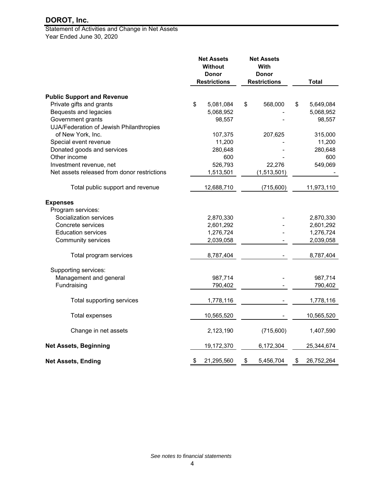# Statement of Activities and Change in Net Assets Year Ended June 30, 2020

|                                             | <b>Net Assets</b><br><b>Without</b><br><b>Donor</b><br><b>Restrictions</b> | <b>Net Assets</b><br>With<br><b>Donor</b><br><b>Restrictions</b> | <b>Total</b>     |
|---------------------------------------------|----------------------------------------------------------------------------|------------------------------------------------------------------|------------------|
| <b>Public Support and Revenue</b>           |                                                                            |                                                                  |                  |
| Private gifts and grants                    | \$<br>5,081,084                                                            | \$<br>568,000                                                    | \$<br>5,649,084  |
| Bequests and legacies                       | 5,068,952                                                                  |                                                                  | 5,068,952        |
| Government grants                           | 98,557                                                                     |                                                                  | 98,557           |
| UJA/Federation of Jewish Philanthropies     |                                                                            |                                                                  |                  |
| of New York, Inc.                           | 107,375                                                                    | 207,625                                                          | 315,000          |
| Special event revenue                       | 11,200                                                                     |                                                                  | 11,200           |
| Donated goods and services                  | 280,648                                                                    |                                                                  | 280,648          |
| Other income                                | 600                                                                        |                                                                  | 600              |
| Investment revenue, net                     | 526,793                                                                    | 22,276                                                           | 549,069          |
| Net assets released from donor restrictions | 1,513,501                                                                  | (1,513,501)                                                      |                  |
| Total public support and revenue            | 12,688,710                                                                 | (715,600)                                                        | 11,973,110       |
| <b>Expenses</b>                             |                                                                            |                                                                  |                  |
| Program services:                           |                                                                            |                                                                  |                  |
| Socialization services                      | 2,870,330                                                                  |                                                                  | 2,870,330        |
| Concrete services                           | 2,601,292                                                                  |                                                                  | 2,601,292        |
| <b>Education services</b>                   | 1,276,724                                                                  |                                                                  | 1,276,724        |
| <b>Community services</b>                   | 2,039,058                                                                  |                                                                  | 2,039,058        |
| Total program services                      | 8,787,404                                                                  |                                                                  | 8,787,404        |
| Supporting services:                        |                                                                            |                                                                  |                  |
| Management and general                      | 987,714                                                                    |                                                                  | 987,714          |
| Fundraising                                 | 790,402                                                                    |                                                                  | 790,402          |
|                                             |                                                                            |                                                                  |                  |
| Total supporting services                   | 1,778,116                                                                  |                                                                  | 1,778,116        |
| Total expenses                              | 10,565,520                                                                 |                                                                  | 10,565,520       |
| Change in net assets                        | 2,123,190                                                                  | (715,600)                                                        | 1,407,590        |
| <b>Net Assets, Beginning</b>                | 19,172,370                                                                 | 6,172,304                                                        | 25,344,674       |
| <b>Net Assets, Ending</b>                   | \$<br>21,295,560                                                           | \$<br>5,456,704                                                  | \$<br>26,752,264 |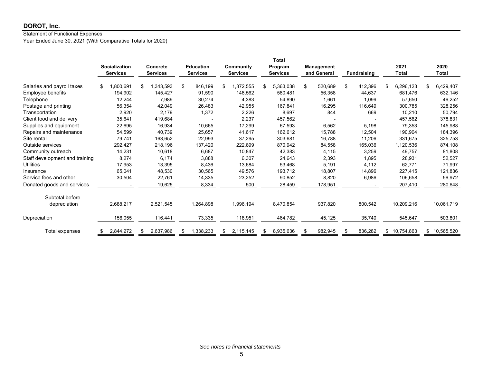### Statement of Functional Expenses

Year Ended June 30, 2021 (With Comparative Totals for 2020)

|                                |    |                      |                 |                  |                 | <b>Total</b>    |                   |    |                    |                 |                 |
|--------------------------------|----|----------------------|-----------------|------------------|-----------------|-----------------|-------------------|----|--------------------|-----------------|-----------------|
|                                |    | <b>Socialization</b> | <b>Concrete</b> | <b>Education</b> | Community       | Program         | <b>Management</b> |    |                    | 2021            | 2020            |
|                                |    | <b>Services</b>      | <b>Services</b> | <b>Services</b>  | <b>Services</b> | <b>Services</b> | and General       |    | <b>Fundraising</b> | <b>Total</b>    | Total           |
| Salaries and payroll taxes     | \$ | ,800,691             | \$<br>1,343,593 | \$<br>846,199    | \$<br>1,372,555 | \$<br>5,363,038 | \$<br>520,689     | \$ | 412,396            | \$<br>6,296,123 | \$<br>6,429,407 |
| Employee benefits              |    | 194,902              | 145,427         | 91,590           | 148,562         | 580,481         | 56,358            |    | 44,637             | 681,476         | 632,146         |
| Telephone                      |    | 12,244               | 7,989           | 30,274           | 4,383           | 54,890          | 1,661             |    | 1,099              | 57,650          | 46,252          |
| Postage and printing           |    | 56,354               | 42,049          | 26,483           | 42,955          | 167,841         | 16,295            |    | 116,649            | 300,785         | 328,256         |
| Transportation                 |    | 2,920                | 2,179           | 1,372            | 2,226           | 8,697           | 844               |    | 669                | 10,210          | 50,794          |
| Client food and delivery       |    | 35,641               | 419,684         |                  | 2,237           | 457,562         |                   |    |                    | 457,562         | 378,831         |
| Supplies and equipment         |    | 22,695               | 16,934          | 10,665           | 17,299          | 67,593          | 6,562             |    | 5,198              | 79,353          | 145,988         |
| Repairs and maintenance        |    | 54,599               | 40,739          | 25,657           | 41,617          | 162,612         | 15,788            |    | 12,504             | 190,904         | 184,396         |
| Site rental                    |    | 79,741               | 163,652         | 22,993           | 37,295          | 303,681         | 16,788            |    | 11,206             | 331,675         | 325,753         |
| Outside services               |    | 292,427              | 218,196         | 137,420          | 222,899         | 870,942         | 84,558            |    | 165,036            | 1,120,536       | 874,108         |
| Community outreach             |    | 14,231               | 10,618          | 6,687            | 10,847          | 42,383          | 4,115             |    | 3,259              | 49,757          | 81,808          |
| Staff development and training |    | 8,274                | 6,174           | 3,888            | 6,307           | 24,643          | 2,393             |    | 1,895              | 28,931          | 52,527          |
| <b>Utilities</b>               |    | 17,953               | 13,395          | 8,436            | 13,684          | 53,468          | 5,191             |    | 4,112              | 62,771          | 71,997          |
| Insurance                      |    | 65,041               | 48,530          | 30,565           | 49,576          | 193,712         | 18,807            |    | 14,896             | 227,415         | 121,836         |
| Service fees and other         |    | 30,504               | 22,761          | 14,335           | 23,252          | 90,852          | 8,820             |    | 6,986              | 106,658         | 56,972          |
| Donated goods and services     |    |                      | 19,625          | 8,334            | 500             | 28,459          | 178,951           |    |                    | 207,410         | 280,648         |
| Subtotal before                |    |                      |                 |                  |                 |                 |                   |    |                    |                 |                 |
| depreciation                   |    | 2,688,217            | 2,521,545       | 1,264,898        | 1,996,194       | 8,470,854       | 937,820           |    | 800,542            | 10,209,216      | 10,061,719      |
| Depreciation                   |    | 156,055              | 116,441         | 73,335           | 118,951         | 464,782         | 45,125            |    | 35,740             | 545,647         | 503,801         |
| Total expenses                 | S  | 2,844,272            | \$<br>2,637,986 | \$<br>338,233    | \$<br>2,115,145 | \$<br>8,935,636 | \$<br>982,945     | S. | 836,282            | \$10,754,863    | \$10,565,520    |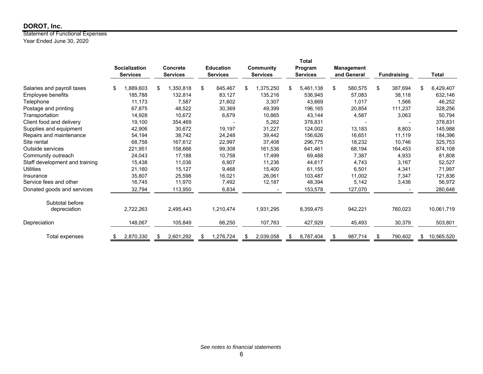Statement of Functional Expenses Year Ended June 30, 2020

|                                |                      |                 |                  |                 |    | <b>Total</b>    |                   |                    |                  |
|--------------------------------|----------------------|-----------------|------------------|-----------------|----|-----------------|-------------------|--------------------|------------------|
|                                | <b>Socialization</b> | <b>Concrete</b> | <b>Education</b> | Community       |    | Program         | <b>Management</b> |                    |                  |
|                                | <b>Services</b>      | <b>Services</b> | <b>Services</b>  | <b>Services</b> |    | <b>Services</b> | and General       | <b>Fundraising</b> | Total            |
| Salaries and payroll taxes     | 1,889,603            | \$<br>1,350,818 | \$<br>845,467    | \$<br>1,375,250 | \$ | 5,461,138       | \$<br>580,575     | \$<br>387,694      | \$<br>6,429,407  |
| Employee benefits              | 185,788              | 132,814         | 83,127           | 135,216         |    | 536,945         | 57,083            | 38,118             | 632,146          |
| Telephone                      | 11,173               | 7,587           | 21,602           | 3,307           |    | 43,669          | 1,017             | 1,566              | 46,252           |
| Postage and printing           | 67,875               | 48,522          | 30,369           | 49,399          |    | 196,165         | 20,854            | 111,237            | 328,256          |
| Transportation                 | 14,928               | 10,672          | 6,679            | 10,865          |    | 43,144          | 4,587             | 3,063              | 50,794           |
| Client food and delivery       | 19,100               | 354,469         |                  | 5,262           |    | 378,831         |                   |                    | 378,831          |
| Supplies and equipment         | 42,906               | 30,672          | 19,197           | 31,227          |    | 124,002         | 13,183            | 8,803              | 145,988          |
| Repairs and maintenance        | 54,194               | 38,742          | 24,248           | 39,442          |    | 156,626         | 16,651            | 11,119             | 184,396          |
| Site rental                    | 68,758               | 167,612         | 22,997           | 37,408          |    | 296,775         | 18,232            | 10,746             | 325,753          |
| Outside services               | 221,951              | 158,666         | 99,308           | 161,536         |    | 641,461         | 68,194            | 164,453            | 874,108          |
| Community outreach             | 24,043               | 17,188          | 10,758           | 17,499          |    | 69,488          | 7,387             | 4,933              | 81,808           |
| Staff development and training | 15,438               | 11,036          | 6,907            | 11,236          |    | 44,617          | 4,743             | 3,167              | 52,527           |
| <b>Utilities</b>               | 21,160               | 15,127          | 9,468            | 15,400          |    | 61,155          | 6,501             | 4,341              | 71,997           |
| Insurance                      | 35,807               | 25,598          | 16,021           | 26,061          |    | 103,487         | 11,002            | 7,347              | 121,836          |
| Service fees and other         | 16,745               | 11,970          | 7,492            | 12,187          |    | 48,394          | 5,142             | 3,436              | 56,972           |
| Donated goods and services     | 32,794               | 113,950         | 6,834            |                 |    | 153,578         | 127,070           |                    | 280,648          |
| Subtotal before                |                      |                 |                  |                 |    |                 |                   |                    |                  |
| depreciation                   | 2,722,263            | 2,495,443       | 1,210,474        | 1,931,295       |    | 8,359,475       | 942,221           | 760,023            | 10,061,719       |
| Depreciation                   | 148,067              | 105,849         | 66,250           | 107,763         |    | 427,929         | 45,493            | 30,379             | 503,801          |
| Total expenses                 | 2,870,330            | \$<br>2,601,292 | \$<br>1,276,724  | \$<br>2,039,058 | S  | 8,787,404       | \$<br>987,714     | \$<br>790,402      | \$<br>10,565,520 |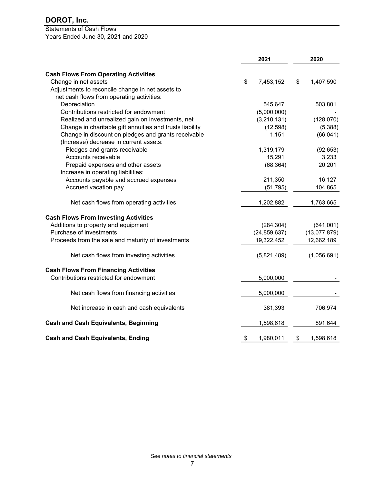# Statements of Cash Flows Years Ended June 30, 2021 and 2020

|                                                          | 2021            | 2020            |
|----------------------------------------------------------|-----------------|-----------------|
| <b>Cash Flows From Operating Activities</b>              |                 |                 |
| Change in net assets                                     | \$<br>7,453,152 | \$<br>1,407,590 |
| Adjustments to reconcile change in net assets to         |                 |                 |
| net cash flows from operating activities:                |                 |                 |
| Depreciation                                             | 545,647         | 503,801         |
| Contributions restricted for endowment                   | (5,000,000)     |                 |
| Realized and unrealized gain on investments, net         | (3,210,131)     | (128,070)       |
| Change in charitable gift annuities and trusts liability | (12, 598)       | (5,388)         |
| Change in discount on pledges and grants receivable      | 1,151           | (66, 041)       |
| (Increase) decrease in current assets:                   |                 |                 |
| Pledges and grants receivable                            | 1,319,179       | (92, 653)       |
| Accounts receivable                                      | 15,291          | 3,233           |
| Prepaid expenses and other assets                        | (68, 364)       | 20,201          |
| Increase in operating liabilities:                       |                 |                 |
| Accounts payable and accrued expenses                    | 211,350         | 16,127          |
| Accrued vacation pay                                     | (51, 795)       | 104,865         |
|                                                          |                 |                 |
| Net cash flows from operating activities                 | 1,202,882       | 1,763,665       |
| <b>Cash Flows From Investing Activities</b>              |                 |                 |
| Additions to property and equipment                      | (284, 304)      | (641,001)       |
| Purchase of investments                                  | (24, 859, 637)  | (13,077,879)    |
| Proceeds from the sale and maturity of investments       | 19,322,452      | 12,662,189      |
| Net cash flows from investing activities                 | (5,821,489)     | (1,056,691)     |
| <b>Cash Flows From Financing Activities</b>              |                 |                 |
| Contributions restricted for endowment                   | 5,000,000       |                 |
| Net cash flows from financing activities                 | 5,000,000       |                 |
|                                                          |                 |                 |
| Net increase in cash and cash equivalents                | 381,393         | 706,974         |
| <b>Cash and Cash Equivalents, Beginning</b>              | 1,598,618       | 891,644         |
| <b>Cash and Cash Equivalents, Ending</b>                 | \$<br>1,980,011 | \$<br>1,598,618 |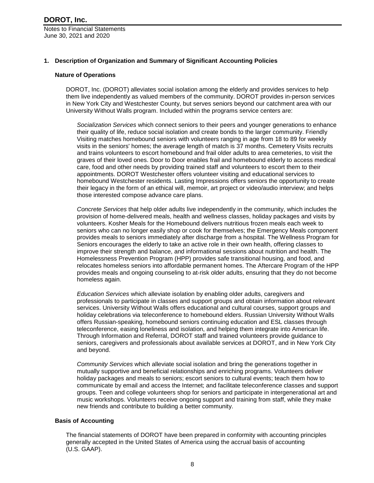### **1. Description of Organization and Summary of Significant Accounting Policies**

#### **Nature of Operations**

DOROT, Inc. (DOROT) alleviates social isolation among the elderly and provides services to help them live independently as valued members of the community. DOROT provides in-person services in New York City and Westchester County, but serves seniors beyond our catchment area with our University Without Walls program. Included within the programs service centers are:

*Socialization Services* which connect seniors to their peers and younger generations to enhance their quality of life, reduce social isolation and create bonds to the larger community. Friendly Visiting matches homebound seniors with volunteers ranging in age from 18 to 89 for weekly visits in the seniors' homes; the average length of match is 37 months. Cemetery Visits recruits and trains volunteers to escort homebound and frail older adults to area cemeteries, to visit the graves of their loved ones. Door to Door enables frail and homebound elderly to access medical care, food and other needs by providing trained staff and volunteers to escort them to their appointments. DOROT Westchester offers volunteer visiting and educational services to homebound Westchester residents. Lasting Impressions offers seniors the opportunity to create their legacy in the form of an ethical will, memoir, art project or video/audio interview; and helps those interested compose advance care plans.

*Concrete Services* that help older adults live independently in the community, which includes the provision of home-delivered meals, health and wellness classes, holiday packages and visits by volunteers. Kosher Meals for the Homebound delivers nutritious frozen meals each week to seniors who can no longer easily shop or cook for themselves; the Emergency Meals component provides meals to seniors immediately after discharge from a hospital. The Wellness Program for Seniors encourages the elderly to take an active role in their own health, offering classes to improve their strength and balance, and informational sessions about nutrition and health. The Homelessness Prevention Program (HPP) provides safe transitional housing, and food, and relocates homeless seniors into affordable permanent homes. The Aftercare Program of the HPP provides meals and ongoing counseling to at-risk older adults, ensuring that they do not become homeless again.

*Education Services* which alleviate isolation by enabling older adults, caregivers and professionals to participate in classes and support groups and obtain information about relevant services. University Without Walls offers educational and cultural courses, support groups and holiday celebrations via teleconference to homebound elders. Russian University Without Walls offers Russian-speaking, homebound seniors continuing education and ESL classes through teleconference, easing loneliness and isolation, and helping them integrate into American life. Through Information and Referral, DOROT staff and trained volunteers provide guidance to seniors, caregivers and professionals about available services at DOROT, and in New York City and beyond.

*Community Services* which alleviate social isolation and bring the generations together in mutually supportive and beneficial relationships and enriching programs. Volunteers deliver holiday packages and meals to seniors; escort seniors to cultural events; teach them how to communicate by email and access the Internet; and facilitate teleconference classes and support groups. Teen and college volunteers shop for seniors and participate in intergenerational art and music workshops. Volunteers receive ongoing support and training from staff, while they make new friends and contribute to building a better community.

### **Basis of Accounting**

The financial statements of DOROT have been prepared in conformity with accounting principles generally accepted in the United States of America using the accrual basis of accounting (U.S. GAAP).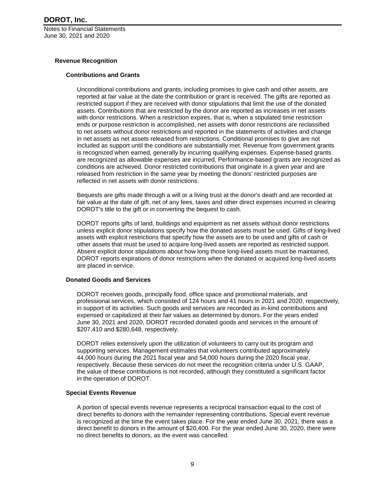Notes to Financial Statements June 30, 2021 and 2020

#### **Revenue Recognition**

#### **Contributions and Grants**

Unconditional contributions and grants, including promises to give cash and other assets, are reported at fair value at the date the contribution or grant is received. The gifts are reported as restricted support if they are received with donor stipulations that limit the use of the donated assets. Contributions that are restricted by the donor are reported as increases in net assets with donor restrictions. When a restriction expires, that is, when a stipulated time restriction ends or purpose restriction is accomplished, net assets with donor restrictions are reclassified to net assets without donor restrictions and reported in the statements of activities and change in net assets as net assets released from restrictions. Conditional promises to give are not included as support until the conditions are substantially met. Revenue from government grants is recognized when earned, generally by incurring qualifying expenses. Expense-based grants are recognized as allowable expenses are incurred. Performance-based grants are recognized as conditions are achieved. Donor restricted contributions that originate in a given year and are released from restriction in the same year by meeting the donors' restricted purposes are reflected in net assets with donor restrictions.

Bequests are gifts made through a will or a living trust at the donor's death and are recorded at fair value at the date of gift, net of any fees, taxes and other direct expenses incurred in clearing DOROT's title to the gift or in converting the bequest to cash.

DOROT reports gifts of land, buildings and equipment as net assets without donor restrictions unless explicit donor stipulations specify how the donated assets must be used. Gifts of long-lived assets with explicit restrictions that specify how the assets are to be used and gifts of cash or other assets that must be used to acquire long-lived assets are reported as restricted support. Absent explicit donor stipulations about how long those long-lived assets must be maintained, DOROT reports expirations of donor restrictions when the donated or acquired long-lived assets are placed in service.

#### **Donated Goods and Services**

DOROT receives goods, principally food, office space and promotional materials, and professional services, which consisted of 124 hours and 41 hours in 2021 and 2020, respectively, in support of its activities. Such goods and services are recorded as in-kind contributions and expensed or capitalized at their fair values as determined by donors. For the years ended June 30, 2021 and 2020, DOROT recorded donated goods and services in the amount of \$207,410 and \$280,648, respectively.

DOROT relies extensively upon the utilization of volunteers to carry out its program and supporting services. Management estimates that volunteers contributed approximately 44,000 hours during the 2021 fiscal year and 54,000 hours during the 2020 fiscal year, respectively. Because these services do not meet the recognition criteria under U.S. GAAP, the value of these contributions is not recorded, although they constituted a significant factor in the operation of DOROT.

#### **Special Events Revenue**

A portion of special events revenue represents a reciprocal transaction equal to the cost of direct benefits to donors with the remainder representing contributions. Special event revenue is recognized at the time the event takes place. For the year ended June 30, 2021, there was a direct benefit to donors in the amount of \$20,400. For the year ended June 30, 2020, there were no direct benefits to donors, as the event was cancelled.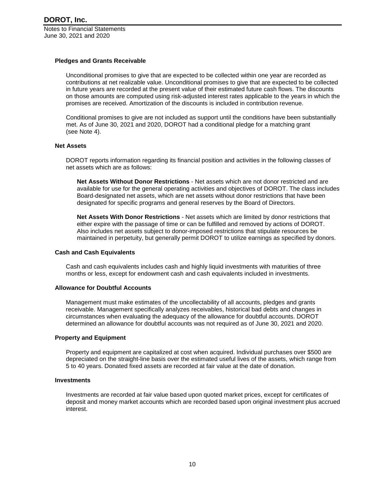#### **Pledges and Grants Receivable**

Unconditional promises to give that are expected to be collected within one year are recorded as contributions at net realizable value. Unconditional promises to give that are expected to be collected in future years are recorded at the present value of their estimated future cash flows. The discounts on those amounts are computed using risk-adjusted interest rates applicable to the years in which the promises are received. Amortization of the discounts is included in contribution revenue.

Conditional promises to give are not included as support until the conditions have been substantially met. As of June 30, 2021 and 2020, DOROT had a conditional pledge for a matching grant (see Note 4).

#### **Net Assets**

DOROT reports information regarding its financial position and activities in the following classes of net assets which are as follows:

**Net Assets Without Donor Restrictions** - Net assets which are not donor restricted and are available for use for the general operating activities and objectives of DOROT. The class includes Board-designated net assets, which are net assets without donor restrictions that have been designated for specific programs and general reserves by the Board of Directors.

**Net Assets With Donor Restrictions** - Net assets which are limited by donor restrictions that either expire with the passage of time or can be fulfilled and removed by actions of DOROT. Also includes net assets subject to donor-imposed restrictions that stipulate resources be maintained in perpetuity, but generally permit DOROT to utilize earnings as specified by donors.

#### **Cash and Cash Equivalents**

Cash and cash equivalents includes cash and highly liquid investments with maturities of three months or less, except for endowment cash and cash equivalents included in investments.

#### **Allowance for Doubtful Accounts**

Management must make estimates of the uncollectability of all accounts, pledges and grants receivable. Management specifically analyzes receivables, historical bad debts and changes in circumstances when evaluating the adequacy of the allowance for doubtful accounts. DOROT determined an allowance for doubtful accounts was not required as of June 30, 2021 and 2020.

#### **Property and Equipment**

Property and equipment are capitalized at cost when acquired. Individual purchases over \$500 are depreciated on the straight-line basis over the estimated useful lives of the assets, which range from 5 to 40 years. Donated fixed assets are recorded at fair value at the date of donation.

#### **Investments**

Investments are recorded at fair value based upon quoted market prices, except for certificates of deposit and money market accounts which are recorded based upon original investment plus accrued interest.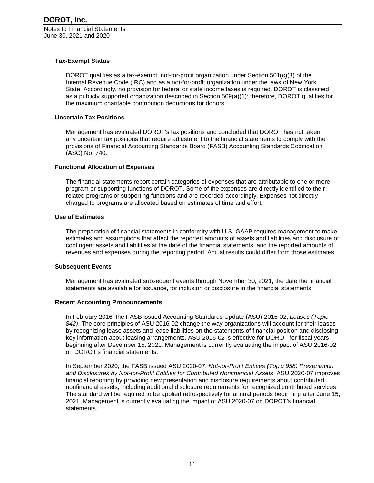### **Tax-Exempt Status**

DOROT qualifies as a tax-exempt, not-for-profit organization under Section 501(c)(3) of the Internal Revenue Code (IRC) and as a not-for-profit organization under the laws of New York State. Accordingly, no provision for federal or state income taxes is required. DOROT is classified as a publicly supported organization described in Section 509(a)(1); therefore, DOROT qualifies for the maximum charitable contribution deductions for donors.

### **Uncertain Tax Positions**

Management has evaluated DOROT's tax positions and concluded that DOROT has not taken any uncertain tax positions that require adjustment to the financial statements to comply with the provisions of Financial Accounting Standards Board (FASB) Accounting Standards Codification (ASC) No. 740.

### **Functional Allocation of Expenses**

The financial statements report certain categories of expenses that are attributable to one or more program or supporting functions of DOROT. Some of the expenses are directly identified to their related programs or supporting functions and are recorded accordingly. Expenses not directly charged to programs are allocated based on estimates of time and effort.

### **Use of Estimates**

The preparation of financial statements in conformity with U.S. GAAP requires management to make estimates and assumptions that affect the reported amounts of assets and liabilities and disclosure of contingent assets and liabilities at the date of the financial statements, and the reported amounts of revenues and expenses during the reporting period. Actual results could differ from those estimates.

#### **Subsequent Events**

Management has evaluated subsequent events through November 30, 2021, the date the financial statements are available for issuance, for inclusion or disclosure in the financial statements.

#### **Recent Accounting Pronouncements**

In February 2016, the FASB issued Accounting Standards Update (ASU) 2016-02, *Leases (Topic 842)*. The core principles of ASU 2016-02 change the way organizations will account for their leases by recognizing lease assets and lease liabilities on the statements of financial position and disclosing key information about leasing arrangements. ASU 2016-02 is effective for DOROT for fiscal years beginning after December 15, 2021. Management is currently evaluating the impact of ASU 2016-02 on DOROT's financial statements.

In September 2020, the FASB issued ASU 2020-07, *Not-for-Profit Entities (Topic 958) Presentation and Disclosures by Not-for-Profit Entities for Contributed Nonfinancial Assets*. ASU 2020-07 improves financial reporting by providing new presentation and disclosure requirements about contributed nonfinancial assets, including additional disclosure requirements for recognized contributed services. The standard will be required to be applied retrospectively for annual periods beginning after June 15, 2021. Management is currently evaluating the impact of ASU 2020-07 on DOROT's financial statements.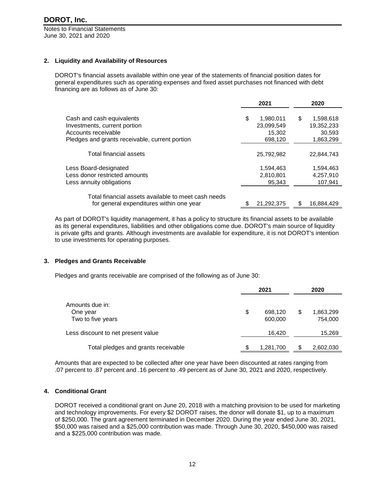### **2. Liquidity and Availability of Resources**

DOROT's financial assets available within one year of the statements of financial position dates for general expenditures such as operating expenses and fixed asset purchases not financed with debt financing are as follows as of June 30:

|                                                                                                 | 2021                          |   | 2020                    |
|-------------------------------------------------------------------------------------------------|-------------------------------|---|-------------------------|
| Cash and cash equivalents<br>Investments, current portion                                       | \$<br>1,980,011<br>23,099,549 | S | 1,598,618<br>19,352,233 |
| Accounts receivable                                                                             | 15.302                        |   | 30,593                  |
| Pledges and grants receivable, current portion                                                  | 698,120                       |   | 1,863,299               |
| Total financial assets                                                                          | 25.792.982                    |   | 22.844.743              |
| Less Board-designated                                                                           | 1,594,463                     |   | 1,594,463               |
| Less donor restricted amounts                                                                   | 2,810,801                     |   | 4,257,910               |
| Less annuity obligations                                                                        | 95,343                        |   | 107,941                 |
| Total financial assets available to meet cash needs<br>for general expenditures within one year | 21.292.375                    |   | 16.884.429              |

As part of DOROT's liquidity management, it has a policy to structure its financial assets to be available as its general expenditures, liabilities and other obligations come due. DOROT's main source of liquidity is private gifts and grants. Although investments are available for expenditure, it is not DOROT's intention to use investments for operating purposes.

### **3. Pledges and Grants Receivable**

Pledges and grants receivable are comprised of the following as of June 30:

|                                     | 2021                     |   | 2020                 |
|-------------------------------------|--------------------------|---|----------------------|
| Amounts due in:                     |                          |   |                      |
| One year<br>Two to five years       | \$<br>698,120<br>600,000 | S | 1,863,299<br>754,000 |
| Less discount to net present value  | 16,420                   |   | 15,269               |
| Total pledges and grants receivable | 1,281,700                |   | 2,602,030            |

Amounts that are expected to be collected after one year have been discounted at rates ranging from .07 percent to .87 percent and .16 percent to .49 percent as of June 30, 2021 and 2020, respectively.

### **4. Conditional Grant**

DOROT received a conditional grant on June 20, 2018 with a matching provision to be used for marketing and technology improvements. For every \$2 DOROT raises, the donor will donate \$1, up to a maximum of \$250,000. The grant agreement terminated in December 2020. During the year ended June 30, 2021, \$50,000 was raised and a \$25,000 contribution was made. Through June 30, 2020, \$450,000 was raised and a \$225,000 contribution was made.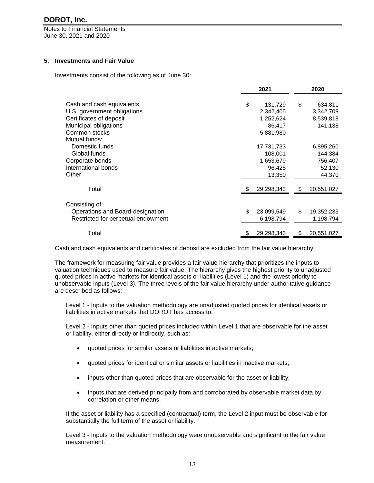Notes to Financial Statements June 30, 2021 and 2020

### **5. Investments and Fair Value**

Investments consist of the following as of June 30:

|                                                                                                                                                | 2021                                                           |    | 2020                                                |  |
|------------------------------------------------------------------------------------------------------------------------------------------------|----------------------------------------------------------------|----|-----------------------------------------------------|--|
| Cash and cash equivalents<br>U.S. government obligations<br>Certificates of deposit<br>Municipal obligations<br>Common stocks<br>Mutual funds: | \$<br>131,729<br>2,342,405<br>1,252,624<br>86,417<br>5,881,980 | \$ | 634,811<br>3,342,709<br>8,539,818<br>141,138        |  |
| Domestic funds<br>Global funds<br>Corporate bonds<br>International bonds<br>Other                                                              | 17,731,733<br>108,001<br>1,653,679<br>96,425<br>13,350         |    | 6,895,260<br>144,384<br>756,407<br>52,130<br>44,370 |  |
| Total                                                                                                                                          | 29,298,343                                                     | S  | 20,551,027                                          |  |
| Consisting of:<br>Operations and Board-designation<br>Restricted for perpetual endowment                                                       | \$<br>23,099,549<br>6,198,794                                  | \$ | 19,352,233<br>1,198,794                             |  |
| Total                                                                                                                                          | 29,298,343                                                     | \$ | 20,551,027                                          |  |

Cash and cash equivalents and certificates of deposit are excluded from the fair value hierarchy.

The framework for measuring fair value provides a fair value hierarchy that prioritizes the inputs to valuation techniques used to measure fair value. The hierarchy gives the highest priority to unadjusted quoted prices in active markets for identical assets or liabilities (Level 1) and the lowest priority to unobservable inputs (Level 3). The three levels of the fair value hierarchy under authoritative guidance are described as follows:

Level 1 - Inputs to the valuation methodology are unadjusted quoted prices for identical assets or liabilities in active markets that DOROT has access to.

Level 2 - Inputs other than quoted prices included within Level 1 that are observable for the asset or liability, either directly or indirectly, such as:

- quoted prices for similar assets or liabilities in active markets;
- quoted prices for identical or similar assets or liabilities in inactive markets;
- inputs other than quoted prices that are observable for the asset or liability;
- inputs that are derived principally from and corroborated by observable market data by correlation or other means.

If the asset or liability has a specified (contractual) term, the Level 2 input must be observable for substantially the full term of the asset or liability.

Level 3 - Inputs to the valuation methodology were unobservable and significant to the fair value measurement.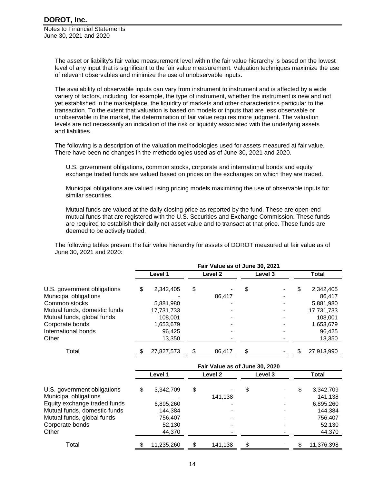> The asset or liability's fair value measurement level within the fair value hierarchy is based on the lowest level of any input that is significant to the fair value measurement. Valuation techniques maximize the use of relevant observables and minimize the use of unobservable inputs.

The availability of observable inputs can vary from instrument to instrument and is affected by a wide variety of factors, including, for example, the type of instrument, whether the instrument is new and not yet established in the marketplace, the liquidity of markets and other characteristics particular to the transaction. To the extent that valuation is based on models or inputs that are less observable or unobservable in the market, the determination of fair value requires more judgment. The valuation levels are not necessarily an indication of the risk or liquidity associated with the underlying assets and liabilities.

The following is a description of the valuation methodologies used for assets measured at fair value. There have been no changes in the methodologies used as of June 30, 2021 and 2020.

U.S. government obligations, common stocks, corporate and international bonds and equity exchange traded funds are valued based on prices on the exchanges on which they are traded.

Municipal obligations are valued using pricing models maximizing the use of observable inputs for similar securities.

Mutual funds are valued at the daily closing price as reported by the fund. These are open-end mutual funds that are registered with the U.S. Securities and Exchange Commission. These funds are required to establish their daily net asset value and to transact at that price. These funds are deemed to be actively traded.

The following tables present the fair value hierarchy for assets of DOROT measured at fair value as of June 30, 2021 and 2020:

|                              |                 |     | Fair Value as of June 30, 2021 |         |         |    |              |
|------------------------------|-----------------|-----|--------------------------------|---------|---------|----|--------------|
|                              | Level 1         |     | Level 2                        | Level 3 |         |    | Total        |
| U.S. government obligations  | \$<br>2,342,405 | \$  |                                | \$      |         | \$ | 2,342,405    |
| Municipal obligations        |                 |     | 86.417                         |         |         |    | 86.417       |
| Common stocks                | 5,881,980       |     |                                |         |         |    | 5,881,980    |
| Mutual funds, domestic funds | 17,731,733      |     |                                |         |         |    | 17,731,733   |
| Mutual funds, global funds   | 108.001         |     |                                |         |         |    | 108.001      |
| Corporate bonds              | 1,653,679       |     |                                |         |         |    | 1,653,679    |
| International bonds          | 96.425          |     |                                |         |         |    | 96.425       |
| Other                        | 13,350          |     |                                |         |         |    | 13,350       |
| Total                        | 27,827,573      | \$. | 86,417                         | \$.     |         | S  | 27,913,990   |
|                              |                 |     | Fair Value as of June 30, 2020 |         |         |    |              |
|                              | Level 1         |     | Level <sub>2</sub>             |         | Level 3 |    | <b>Total</b> |

| U.S. government obligations  | \$<br>3,342,709 | \$      |  | \$<br>3,342,709 |
|------------------------------|-----------------|---------|--|-----------------|
| Municipal obligations        |                 | 141,138 |  | 141,138         |
| Equity exchange traded funds | 6,895,260       |         |  | 6,895,260       |
| Mutual funds, domestic funds | 144.384         |         |  | 144.384         |
| Mutual funds, global funds   | 756.407         |         |  | 756.407         |
| Corporate bonds              | 52,130          |         |  | 52,130          |
| Other                        | 44,370          |         |  | 44,370          |
| Total                        | 11,235,260      | 141,138 |  | 11,376,398      |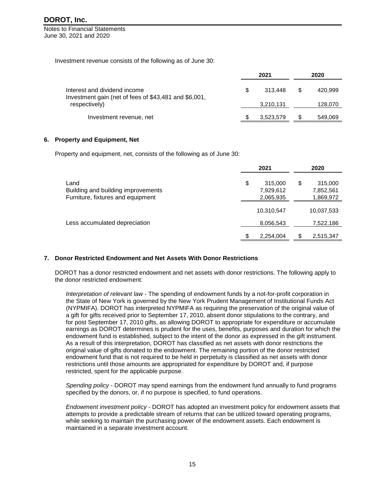Notes to Financial Statements June 30, 2021 and 2020

Investment revenue consists of the following as of June 30:

|                                                                                       | 2021 |           | 2020          |
|---------------------------------------------------------------------------------------|------|-----------|---------------|
| Interest and dividend income<br>Investment gain (net of fees of \$43,481 and \$6,001, |      | 313.448   | \$<br>420.999 |
| respectively)                                                                         |      | 3,210,131 | 128,070       |
| Investment revenue, net                                                               |      | 3,523,579 | 549,069       |

#### **6. Property and Equipment, Net**

Property and equipment, net, consists of the following as of June 30:

|                                                                                 | 2021                                    | 2020                                    |
|---------------------------------------------------------------------------------|-----------------------------------------|-----------------------------------------|
| Land<br>Building and building improvements<br>Furniture, fixtures and equipment | \$<br>315,000<br>7,929,612<br>2,065,935 | \$<br>315,000<br>7,852,561<br>1,869,972 |
|                                                                                 | 10,310,547                              | 10,037,533                              |
| Less accumulated depreciation                                                   | 8,056,543                               | 7,522,186                               |
|                                                                                 | 2,254,004                               | 2,515,347                               |

### **7. Donor Restricted Endowment and Net Assets With Donor Restrictions**

DOROT has a donor restricted endowment and net assets with donor restrictions. The following apply to the donor restricted endowment:

*Interpretation of relevant law* - The spending of endowment funds by a not-for-profit corporation in the State of New York is governed by the New York Prudent Management of Institutional Funds Act (NYPMIFA). DOROT has interpreted NYPMIFA as requiring the preservation of the original value of a gift for gifts received prior to September 17, 2010, absent donor stipulations to the contrary, and for post September 17, 2010 gifts, as allowing DOROT to appropriate for expenditure or accumulate earnings as DOROT determines is prudent for the uses, benefits, purposes and duration for which the endowment fund is established, subject to the intent of the donor as expressed in the gift instrument. As a result of this interpretation, DOROT has classified as net assets with donor restrictions the original value of gifts donated to the endowment. The remaining portion of the donor restricted endowment fund that is not required to be held in perpetuity is classified as net assets with donor restrictions until those amounts are appropriated for expenditure by DOROT and, if purpose restricted, spent for the applicable purpose.

*Spending policy* - DOROT may spend earnings from the endowment fund annually to fund programs specified by the donors, or, if no purpose is specified, to fund operations.

*Endowment investment policy* - DOROT has adopted an investment policy for endowment assets that attempts to provide a predictable stream of returns that can be utilized toward operating programs, while seeking to maintain the purchasing power of the endowment assets. Each endowment is maintained in a separate investment account.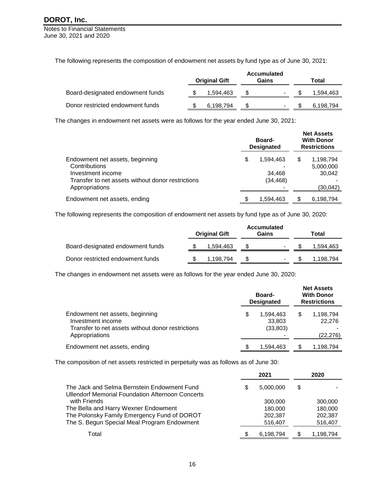Notes to Financial Statements June 30, 2021 and 2020

The following represents the composition of endowment net assets by fund type as of June 30, 2021:

|                                  | <b>Accumulated</b><br><b>Original Gift</b><br>Gains |           |  | Total          |  |           |
|----------------------------------|-----------------------------------------------------|-----------|--|----------------|--|-----------|
| Board-designated endowment funds |                                                     | 1.594.463 |  | $\blacksquare$ |  | .594.463  |
| Donor restricted endowment funds |                                                     | 6.198.794 |  | $\blacksquare$ |  | 6.198.794 |

The changes in endowment net assets were as follows for the year ended June 30, 2021:

|                                                   |     | Board-<br><b>Designated</b> | <b>Net Assets</b><br><b>With Donor</b><br><b>Restrictions</b> |           |  |
|---------------------------------------------------|-----|-----------------------------|---------------------------------------------------------------|-----------|--|
| Endowment net assets, beginning                   | \$  | 1,594,463                   | S                                                             | 1,198,794 |  |
| Contributions                                     |     |                             |                                                               | 5,000,000 |  |
| Investment income                                 |     | 34,468                      |                                                               | 30,042    |  |
| Transfer to net assets without donor restrictions |     | (34, 468)                   |                                                               |           |  |
| Appropriations                                    |     |                             |                                                               | (30, 042) |  |
| Endowment net assets, ending                      | \$. | 1,594,463                   |                                                               | 6,198,794 |  |

The following represents the composition of endowment net assets by fund type as of June 30, 2020:

|                                  | <b>Original Gift</b> | <b>Accumulated</b><br>Gains | Total    |
|----------------------------------|----------------------|-----------------------------|----------|
| Board-designated endowment funds | 1.594.463            | $\overline{\phantom{0}}$    | .594.463 |
| Donor restricted endowment funds | 1,198,794            | $\sim$                      | .198.794 |

The changes in endowment net assets were as follows for the year ended June 30, 2020:

|                                                                                                                             | Board-<br><b>Designated</b> |                                 |    | <b>Net Assets</b><br><b>With Donor</b><br><b>Restrictions</b> |  |  |
|-----------------------------------------------------------------------------------------------------------------------------|-----------------------------|---------------------------------|----|---------------------------------------------------------------|--|--|
| Endowment net assets, beginning<br>Investment income<br>Transfer to net assets without donor restrictions<br>Appropriations | \$                          | 1,594,463<br>33,803<br>(33,803) | \$ | 1,198,794<br>22,276<br>(22, 276)                              |  |  |
| Endowment net assets, ending                                                                                                |                             | 1,594,463                       |    | 1,198,794                                                     |  |  |

The composition of net assets restricted in perpetuity was as follows as of June 30:

|                                                                                                        | 2021      |    | 2020      |
|--------------------------------------------------------------------------------------------------------|-----------|----|-----------|
| The Jack and Selma Bernstein Endowment Fund<br><b>Ullendorf Memorial Foundation Afternoon Concerts</b> | 5.000.000 | \$ |           |
| with Friends                                                                                           | 300,000   |    | 300,000   |
| The Bella and Harry Wexner Endowment                                                                   | 180,000   |    | 180.000   |
| The Polonsky Family Emergency Fund of DOROT                                                            | 202,387   |    | 202.387   |
| The S. Begun Special Meal Program Endowment                                                            | 516,407   |    | 516,407   |
| Total                                                                                                  | 6.198.794 |    | 1,198,794 |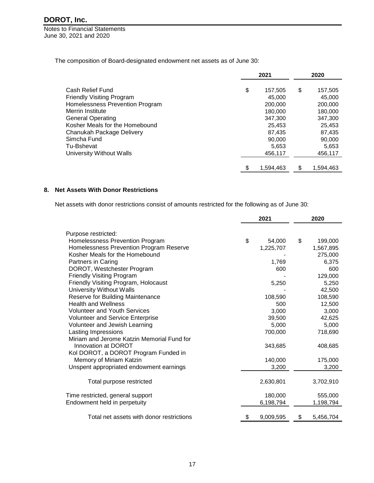Notes to Financial Statements June 30, 2021 and 2020

The composition of Board-designated endowment net assets as of June 30:

|                                                                                 | 2021                          |    | 2020                          |
|---------------------------------------------------------------------------------|-------------------------------|----|-------------------------------|
| Cash Relief Fund<br><b>Friendly Visiting Program</b>                            | \$<br>157,505<br>45,000       | \$ | 157,505<br>45,000             |
| Homelessness Prevention Program<br>Merrin Institute<br><b>General Operating</b> | 200,000<br>180.000<br>347.300 |    | 200,000<br>180.000<br>347,300 |
| Kosher Meals for the Homebound<br>Chanukah Package Delivery                     | 25,453<br>87,435              |    | 25,453<br>87,435              |
| Simcha Fund<br>Tu-Bshevat<br>University Without Walls                           | 90,000<br>5,653<br>456.117    |    | 90,000<br>5,653<br>456,117    |
|                                                                                 | 1,594,463                     |    | 1,594,463                     |

#### **8. Net Assets With Donor Restrictions**

Net assets with donor restrictions consist of amounts restricted for the following as of June 30:

|                                            | 2021 |           | 2020 |           |
|--------------------------------------------|------|-----------|------|-----------|
|                                            |      |           |      |           |
| Purpose restricted:                        |      |           |      |           |
| Homelessness Prevention Program            | \$   | 54,000    | \$   | 199,000   |
| Homelessness Prevention Program Reserve    |      | 1,225,707 |      | 1,567,895 |
| Kosher Meals for the Homebound             |      |           |      | 275,000   |
| Partners in Caring                         |      | 1,769     |      | 6,375     |
| DOROT, Westchester Program                 |      | 600       |      | 600       |
| <b>Friendly Visiting Program</b>           |      |           |      | 129,000   |
| Friendly Visiting Program, Holocaust       |      | 5,250     |      | 5,250     |
| University Without Walls                   |      |           |      | 42,500    |
| Reserve for Building Maintenance           |      | 108,590   |      | 108,590   |
| <b>Health and Wellness</b>                 |      | 500       |      | 12,500    |
| <b>Volunteer and Youth Services</b>        |      | 3,000     |      | 3,000     |
| Volunteer and Service Enterprise           |      | 39,500    |      | 42,625    |
| Volunteer and Jewish Learning              |      | 5,000     |      | 5,000     |
| Lasting Impressions                        |      | 700,000   |      | 718,690   |
| Miriam and Jerome Katzin Memorial Fund for |      |           |      |           |
| Innovation at DOROT                        |      | 343,685   |      | 408,685   |
| Kol DOROT, a DOROT Program Funded in       |      |           |      |           |
| Memory of Miriam Katzin                    |      | 140,000   |      | 175,000   |
| Unspent appropriated endowment earnings    |      | 3,200     |      | 3,200     |
|                                            |      |           |      |           |
| Total purpose restricted                   |      | 2,630,801 |      | 3,702,910 |
| Time restricted, general support           |      | 180,000   |      | 555,000   |
| Endowment held in perpetuity               |      | 6,198,794 |      | 1,198,794 |
| Total net assets with donor restrictions   | \$   | 9,009,595 | \$   | 5,456,704 |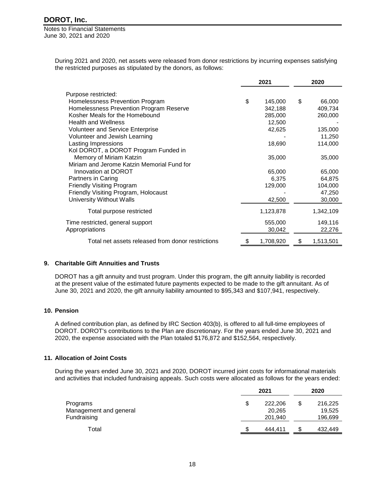Notes to Financial Statements June 30, 2021 and 2020

> During 2021 and 2020, net assets were released from donor restrictions by incurring expenses satisfying the restricted purposes as stipulated by the donors, as follows:

|                                                   | 2021 |           | 2020 |           |
|---------------------------------------------------|------|-----------|------|-----------|
| Purpose restricted:                               |      |           |      |           |
| Homelessness Prevention Program                   | \$   | 145,000   | \$   | 66,000    |
| Homelessness Prevention Program Reserve           |      | 342,188   |      | 409,734   |
| Kosher Meals for the Homebound                    |      | 285,000   |      | 260,000   |
| <b>Health and Wellness</b>                        |      | 12,500    |      |           |
| <b>Volunteer and Service Enterprise</b>           |      | 42,625    |      | 135,000   |
| Volunteer and Jewish Learning                     |      |           |      | 11,250    |
| Lasting Impressions                               |      | 18,690    |      | 114,000   |
| Kol DOROT, a DOROT Program Funded in              |      |           |      |           |
| Memory of Miriam Katzin                           |      | 35,000    |      | 35,000    |
| Miriam and Jerome Katzin Memorial Fund for        |      |           |      |           |
| Innovation at DOROT                               |      | 65,000    |      | 65,000    |
| Partners in Caring                                |      | 6,375     |      | 64,875    |
| <b>Friendly Visiting Program</b>                  |      | 129,000   |      | 104,000   |
| Friendly Visiting Program, Holocaust              |      |           |      | 47,250    |
| University Without Walls                          |      | 42,500    |      | 30,000    |
| Total purpose restricted                          |      | 1,123,878 |      | 1,342,109 |
| Time restricted, general support                  |      | 555,000   |      | 149,116   |
| Appropriations                                    |      | 30,042    |      | 22,276    |
| Total net assets released from donor restrictions | \$   | 1,708,920 | \$   | 1,513,501 |

### **9. Charitable Gift Annuities and Trusts**

DOROT has a gift annuity and trust program. Under this program, the gift annuity liability is recorded at the present value of the estimated future payments expected to be made to the gift annuitant. As of June 30, 2021 and 2020, the gift annuity liability amounted to \$95,343 and \$107,941, respectively.

#### **10. Pension**

A defined contribution plan, as defined by IRC Section 403(b), is offered to all full-time employees of DOROT. DOROT's contributions to the Plan are discretionary. For the years ended June 30, 2021 and 2020, the expense associated with the Plan totaled \$176,872 and \$152,564, respectively.

#### **11. Allocation of Joint Costs**

During the years ended June 30, 2021 and 2020, DOROT incurred joint costs for informational materials and activities that included fundraising appeals. Such costs were allocated as follows for the years ended:

|                        |    | 2021    |   | 2020    |
|------------------------|----|---------|---|---------|
| Programs               | \$ | 222,206 | S | 216,225 |
| Management and general |    | 20,265  |   | 19.525  |
| Fundraising            |    | 201,940 |   | 196,699 |
| Total                  | S  | 444.411 | S | 432,449 |
|                        |    |         |   |         |